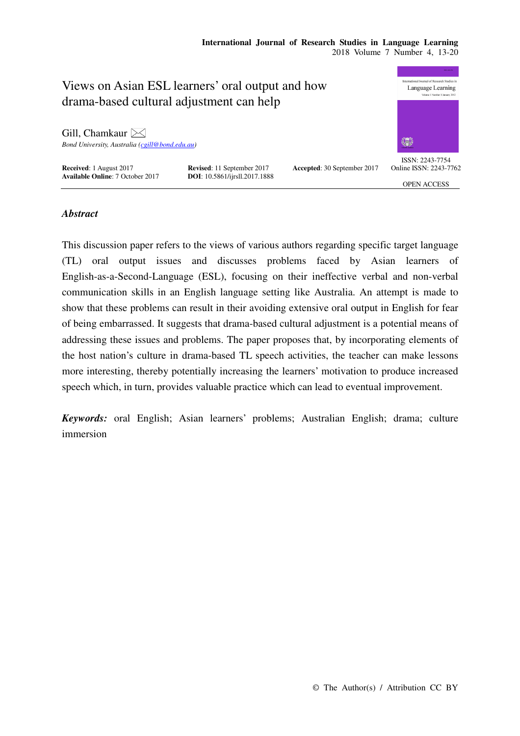# **International Journal of Research Studies in Language Learning**  2018 Volume 7 Number 4, 13-20



# *Abstract*

This discussion paper refers to the views of various authors regarding specific target language (TL) oral output issues and discusses problems faced by Asian learners of English-as-a-Second-Language (ESL), focusing on their ineffective verbal and non-verbal communication skills in an English language setting like Australia. An attempt is made to show that these problems can result in their avoiding extensive oral output in English for fear of being embarrassed. It suggests that drama-based cultural adjustment is a potential means of addressing these issues and problems. The paper proposes that, by incorporating elements of the host nation's culture in drama-based TL speech activities, the teacher can make lessons more interesting, thereby potentially increasing the learners' motivation to produce increased speech which, in turn, provides valuable practice which can lead to eventual improvement.

*Keywords:* oral English; Asian learners' problems; Australian English; drama; culture immersion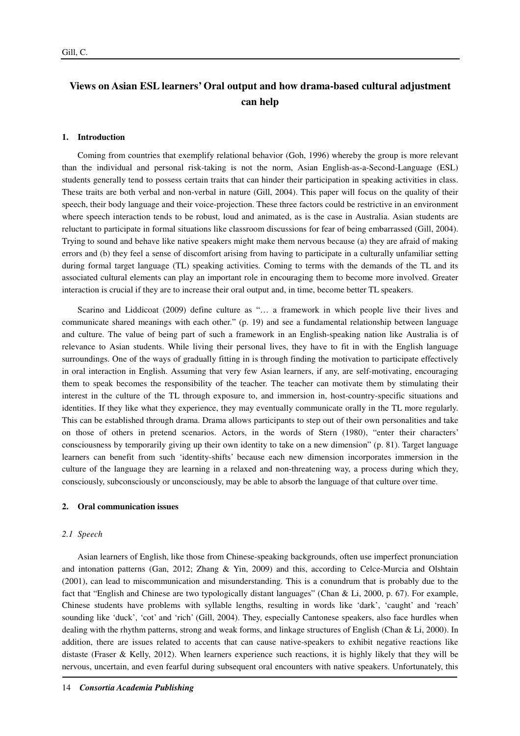# **Views on Asian ESL learners' Oral output and how drama-based cultural adjustment can help**

#### **1. Introduction**

Coming from countries that exemplify relational behavior (Goh, 1996) whereby the group is more relevant than the individual and personal risk-taking is not the norm, Asian English-as-a-Second-Language (ESL) students generally tend to possess certain traits that can hinder their participation in speaking activities in class. These traits are both verbal and non-verbal in nature (Gill, 2004). This paper will focus on the quality of their speech, their body language and their voice-projection. These three factors could be restrictive in an environment where speech interaction tends to be robust, loud and animated, as is the case in Australia. Asian students are reluctant to participate in formal situations like classroom discussions for fear of being embarrassed (Gill, 2004). Trying to sound and behave like native speakers might make them nervous because (a) they are afraid of making errors and (b) they feel a sense of discomfort arising from having to participate in a culturally unfamiliar setting during formal target language (TL) speaking activities. Coming to terms with the demands of the TL and its associated cultural elements can play an important role in encouraging them to become more involved. Greater interaction is crucial if they are to increase their oral output and, in time, become better TL speakers.

Scarino and Liddicoat (2009) define culture as "… a framework in which people live their lives and communicate shared meanings with each other." (p. 19) and see a fundamental relationship between language and culture. The value of being part of such a framework in an English-speaking nation like Australia is of relevance to Asian students. While living their personal lives, they have to fit in with the English language surroundings. One of the ways of gradually fitting in is through finding the motivation to participate effectively in oral interaction in English. Assuming that very few Asian learners, if any, are self-motivating, encouraging them to speak becomes the responsibility of the teacher. The teacher can motivate them by stimulating their interest in the culture of the TL through exposure to, and immersion in, host-country-specific situations and identities. If they like what they experience, they may eventually communicate orally in the TL more regularly. This can be established through drama. Drama allows participants to step out of their own personalities and take on those of others in pretend scenarios. Actors, in the words of Stern (1980), "enter their characters' consciousness by temporarily giving up their own identity to take on a new dimension" (p. 81). Target language learners can benefit from such 'identity-shifts' because each new dimension incorporates immersion in the culture of the language they are learning in a relaxed and non-threatening way, a process during which they, consciously, subconsciously or unconsciously, may be able to absorb the language of that culture over time.

#### **2. Oral communication issues**

#### *2.1 Speech*

Asian learners of English, like those from Chinese-speaking backgrounds, often use imperfect pronunciation and intonation patterns (Gan, 2012; Zhang & Yin, 2009) and this, according to Celce-Murcia and Olshtain (2001), can lead to miscommunication and misunderstanding. This is a conundrum that is probably due to the fact that "English and Chinese are two typologically distant languages" (Chan & Li, 2000, p. 67). For example, Chinese students have problems with syllable lengths, resulting in words like 'dark', 'caught' and 'reach' sounding like 'duck', 'cot' and 'rich' (Gill, 2004). They, especially Cantonese speakers, also face hurdles when dealing with the rhythm patterns, strong and weak forms, and linkage structures of English (Chan & Li, 2000). In addition, there are issues related to accents that can cause native-speakers to exhibit negative reactions like distaste (Fraser & Kelly, 2012). When learners experience such reactions, it is highly likely that they will be nervous, uncertain, and even fearful during subsequent oral encounters with native speakers. Unfortunately, this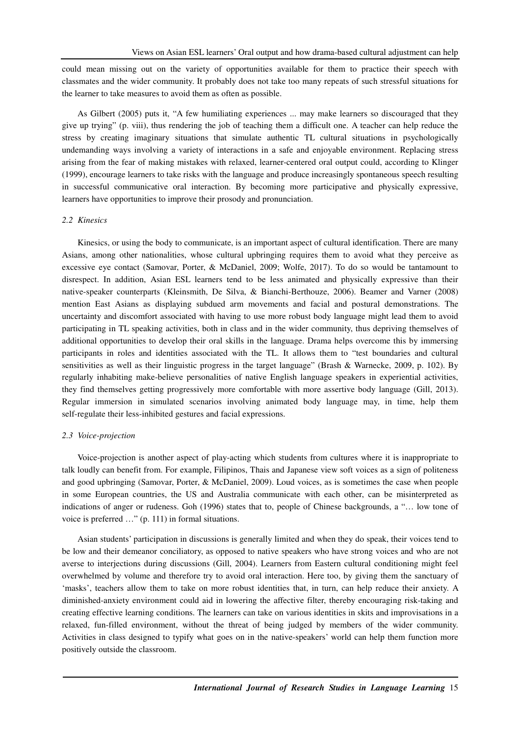could mean missing out on the variety of opportunities available for them to practice their speech with classmates and the wider community. It probably does not take too many repeats of such stressful situations for the learner to take measures to avoid them as often as possible.

As Gilbert (2005) puts it, "A few humiliating experiences ... may make learners so discouraged that they give up trying" (p. viii), thus rendering the job of teaching them a difficult one. A teacher can help reduce the stress by creating imaginary situations that simulate authentic TL cultural situations in psychologically undemanding ways involving a variety of interactions in a safe and enjoyable environment. Replacing stress arising from the fear of making mistakes with relaxed, learner-centered oral output could, according to Klinger (1999), encourage learners to take risks with the language and produce increasingly spontaneous speech resulting in successful communicative oral interaction. By becoming more participative and physically expressive, learners have opportunities to improve their prosody and pronunciation.

#### *2.2 Kinesics*

Kinesics, or using the body to communicate, is an important aspect of cultural identification. There are many Asians, among other nationalities, whose cultural upbringing requires them to avoid what they perceive as excessive eye contact (Samovar, Porter, & McDaniel, 2009; Wolfe, 2017). To do so would be tantamount to disrespect. In addition, Asian ESL learners tend to be less animated and physically expressive than their native-speaker counterparts (Kleinsmith, De Silva, & Bianchi-Berthouze, 2006). Beamer and Varner (2008) mention East Asians as displaying subdued arm movements and facial and postural demonstrations. The uncertainty and discomfort associated with having to use more robust body language might lead them to avoid participating in TL speaking activities, both in class and in the wider community, thus depriving themselves of additional opportunities to develop their oral skills in the language. Drama helps overcome this by immersing participants in roles and identities associated with the TL. It allows them to "test boundaries and cultural sensitivities as well as their linguistic progress in the target language" (Brash & Warnecke, 2009, p. 102). By regularly inhabiting make-believe personalities of native English language speakers in experiential activities, they find themselves getting progressively more comfortable with more assertive body language (Gill, 2013). Regular immersion in simulated scenarios involving animated body language may, in time, help them self-regulate their less-inhibited gestures and facial expressions.

#### *2.3 Voice-projection*

Voice-projection is another aspect of play-acting which students from cultures where it is inappropriate to talk loudly can benefit from. For example, Filipinos, Thais and Japanese view soft voices as a sign of politeness and good upbringing (Samovar, Porter, & McDaniel, 2009). Loud voices, as is sometimes the case when people in some European countries, the US and Australia communicate with each other, can be misinterpreted as indications of anger or rudeness. Goh (1996) states that to, people of Chinese backgrounds, a "… low tone of voice is preferred …" (p. 111) in formal situations.

Asian students' participation in discussions is generally limited and when they do speak, their voices tend to be low and their demeanor conciliatory, as opposed to native speakers who have strong voices and who are not averse to interjections during discussions (Gill, 2004). Learners from Eastern cultural conditioning might feel overwhelmed by volume and therefore try to avoid oral interaction. Here too, by giving them the sanctuary of 'masks', teachers allow them to take on more robust identities that, in turn, can help reduce their anxiety. A diminished-anxiety environment could aid in lowering the affective filter, thereby encouraging risk-taking and creating effective learning conditions. The learners can take on various identities in skits and improvisations in a relaxed, fun-filled environment, without the threat of being judged by members of the wider community. Activities in class designed to typify what goes on in the native-speakers' world can help them function more positively outside the classroom.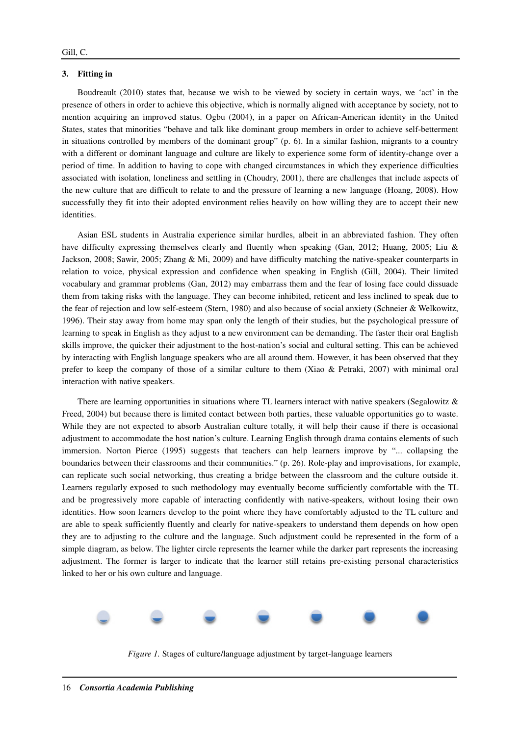## **3. Fitting in**

Boudreault (2010) states that, because we wish to be viewed by society in certain ways, we 'act' in the presence of others in order to achieve this objective, which is normally aligned with acceptance by society, not to mention acquiring an improved status. Ogbu (2004), in a paper on African-American identity in the United States, states that minorities "behave and talk like dominant group members in order to achieve self-betterment in situations controlled by members of the dominant group" (p. 6). In a similar fashion, migrants to a country with a different or dominant language and culture are likely to experience some form of identity-change over a period of time. In addition to having to cope with changed circumstances in which they experience difficulties associated with isolation, loneliness and settling in (Choudry, 2001), there are challenges that include aspects of the new culture that are difficult to relate to and the pressure of learning a new language (Hoang, 2008). How successfully they fit into their adopted environment relies heavily on how willing they are to accept their new identities.

Asian ESL students in Australia experience similar hurdles, albeit in an abbreviated fashion. They often have difficulty expressing themselves clearly and fluently when speaking (Gan, 2012; Huang, 2005; Liu & Jackson, 2008; Sawir, 2005; Zhang & Mi, 2009) and have difficulty matching the native-speaker counterparts in relation to voice, physical expression and confidence when speaking in English (Gill, 2004). Their limited vocabulary and grammar problems (Gan, 2012) may embarrass them and the fear of losing face could dissuade them from taking risks with the language. They can become inhibited, reticent and less inclined to speak due to the fear of rejection and low self-esteem (Stern, 1980) and also because of social anxiety (Schneier & Welkowitz, 1996). Their stay away from home may span only the length of their studies, but the psychological pressure of learning to speak in English as they adjust to a new environment can be demanding. The faster their oral English skills improve, the quicker their adjustment to the host-nation's social and cultural setting. This can be achieved by interacting with English language speakers who are all around them. However, it has been observed that they prefer to keep the company of those of a similar culture to them (Xiao & Petraki, 2007) with minimal oral interaction with native speakers.

There are learning opportunities in situations where TL learners interact with native speakers (Segalowitz & Freed, 2004) but because there is limited contact between both parties, these valuable opportunities go to waste. While they are not expected to absorb Australian culture totally, it will help their cause if there is occasional adjustment to accommodate the host nation's culture. Learning English through drama contains elements of such immersion. Norton Pierce (1995) suggests that teachers can help learners improve by "... collapsing the boundaries between their classrooms and their communities." (p. 26). Role-play and improvisations, for example, can replicate such social networking, thus creating a bridge between the classroom and the culture outside it. Learners regularly exposed to such methodology may eventually become sufficiently comfortable with the TL and be progressively more capable of interacting confidently with native-speakers, without losing their own identities. How soon learners develop to the point where they have comfortably adjusted to the TL culture and are able to speak sufficiently fluently and clearly for native-speakers to understand them depends on how open they are to adjusting to the culture and the language. Such adjustment could be represented in the form of a simple diagram, as below. The lighter circle represents the learner while the darker part represents the increasing adjustment. The former is larger to indicate that the learner still retains pre-existing personal characteristics linked to her or his own culture and language.



*Figure 1.* Stages of culture/language adjustment by target-language learners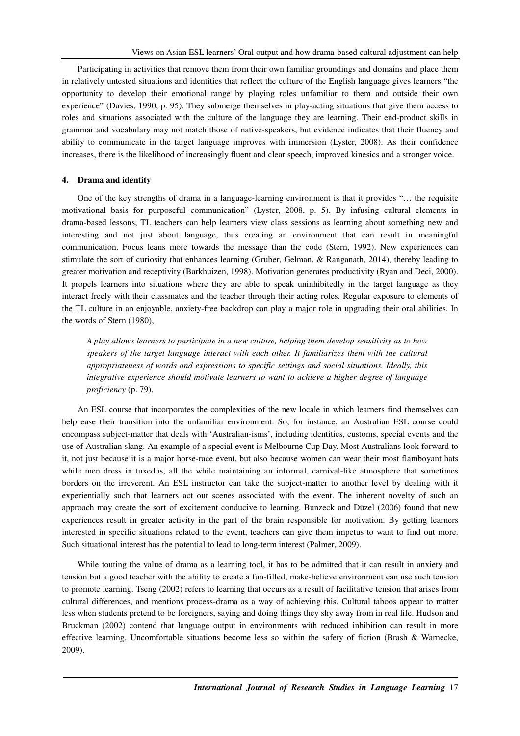Participating in activities that remove them from their own familiar groundings and domains and place them in relatively untested situations and identities that reflect the culture of the English language gives learners "the opportunity to develop their emotional range by playing roles unfamiliar to them and outside their own experience" (Davies, 1990, p. 95). They submerge themselves in play-acting situations that give them access to roles and situations associated with the culture of the language they are learning. Their end-product skills in grammar and vocabulary may not match those of native-speakers, but evidence indicates that their fluency and ability to communicate in the target language improves with immersion (Lyster, 2008). As their confidence increases, there is the likelihood of increasingly fluent and clear speech, improved kinesics and a stronger voice.

# **4. Drama and identity**

One of the key strengths of drama in a language-learning environment is that it provides "… the requisite motivational basis for purposeful communication" (Lyster, 2008, p. 5). By infusing cultural elements in drama-based lessons, TL teachers can help learners view class sessions as learning about something new and interesting and not just about language, thus creating an environment that can result in meaningful communication. Focus leans more towards the message than the code (Stern, 1992). New experiences can stimulate the sort of curiosity that enhances learning (Gruber, Gelman, & Ranganath, 2014), thereby leading to greater motivation and receptivity (Barkhuizen, 1998). Motivation generates productivity (Ryan and Deci, 2000). It propels learners into situations where they are able to speak uninhibitedly in the target language as they interact freely with their classmates and the teacher through their acting roles. Regular exposure to elements of the TL culture in an enjoyable, anxiety-free backdrop can play a major role in upgrading their oral abilities. In the words of Stern (1980),

*A play allows learners to participate in a new culture, helping them develop sensitivity as to how speakers of the target language interact with each other. It familiarizes them with the cultural appropriateness of words and expressions to specific settings and social situations. Ideally, this integrative experience should motivate learners to want to achieve a higher degree of language proficiency* (p. 79).

An ESL course that incorporates the complexities of the new locale in which learners find themselves can help ease their transition into the unfamiliar environment. So, for instance, an Australian ESL course could encompass subject-matter that deals with 'Australian-isms', including identities, customs, special events and the use of Australian slang. An example of a special event is Melbourne Cup Day. Most Australians look forward to it, not just because it is a major horse-race event, but also because women can wear their most flamboyant hats while men dress in tuxedos, all the while maintaining an informal, carnival-like atmosphere that sometimes borders on the irreverent. An ESL instructor can take the subject-matter to another level by dealing with it experientially such that learners act out scenes associated with the event. The inherent novelty of such an approach may create the sort of excitement conducive to learning. Bunzeck and Düzel (2006) found that new experiences result in greater activity in the part of the brain responsible for motivation. By getting learners interested in specific situations related to the event, teachers can give them impetus to want to find out more. Such situational interest has the potential to lead to long-term interest (Palmer, 2009).

While touting the value of drama as a learning tool, it has to be admitted that it can result in anxiety and tension but a good teacher with the ability to create a fun-filled, make-believe environment can use such tension to promote learning. Tseng (2002) refers to learning that occurs as a result of facilitative tension that arises from cultural differences, and mentions process-drama as a way of achieving this. Cultural taboos appear to matter less when students pretend to be foreigners, saying and doing things they shy away from in real life. Hudson and Bruckman (2002) contend that language output in environments with reduced inhibition can result in more effective learning. Uncomfortable situations become less so within the safety of fiction (Brash & Warnecke, 2009).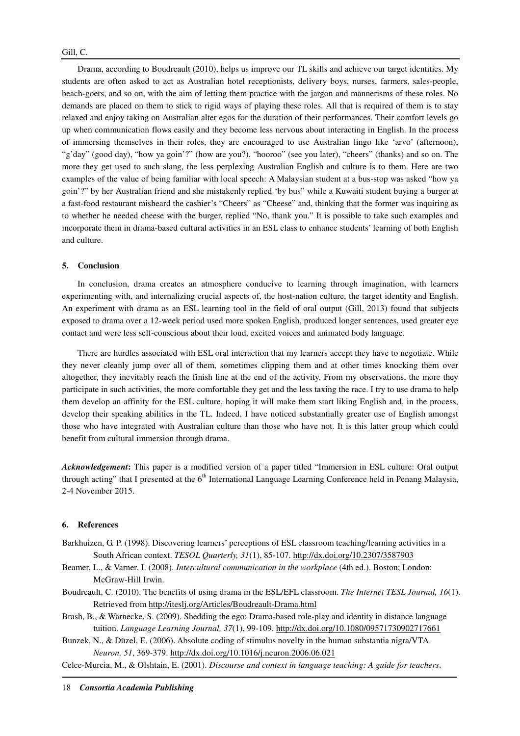Drama, according to Boudreault (2010), helps us improve our TL skills and achieve our target identities. My students are often asked to act as Australian hotel receptionists, delivery boys, nurses, farmers, sales-people, beach-goers, and so on, with the aim of letting them practice with the jargon and mannerisms of these roles. No demands are placed on them to stick to rigid ways of playing these roles. All that is required of them is to stay relaxed and enjoy taking on Australian alter egos for the duration of their performances. Their comfort levels go up when communication flows easily and they become less nervous about interacting in English. In the process of immersing themselves in their roles, they are encouraged to use Australian lingo like 'arvo' (afternoon), "g'day" (good day), "how ya goin'?" (how are you?), "hooroo" (see you later), "cheers" (thanks) and so on. The more they get used to such slang, the less perplexing Australian English and culture is to them. Here are two examples of the value of being familiar with local speech: A Malaysian student at a bus-stop was asked "how ya goin'?" by her Australian friend and she mistakenly replied 'by bus" while a Kuwaiti student buying a burger at a fast-food restaurant misheard the cashier's "Cheers" as "Cheese" and, thinking that the former was inquiring as to whether he needed cheese with the burger, replied "No, thank you." It is possible to take such examples and incorporate them in drama-based cultural activities in an ESL class to enhance students' learning of both English and culture.

# **5. Conclusion**

In conclusion, drama creates an atmosphere conducive to learning through imagination, with learners experimenting with, and internalizing crucial aspects of, the host-nation culture, the target identity and English. An experiment with drama as an ESL learning tool in the field of oral output (Gill, 2013) found that subjects exposed to drama over a 12-week period used more spoken English, produced longer sentences, used greater eye contact and were less self-conscious about their loud, excited voices and animated body language.

There are hurdles associated with ESL oral interaction that my learners accept they have to negotiate. While they never cleanly jump over all of them, sometimes clipping them and at other times knocking them over altogether, they inevitably reach the finish line at the end of the activity. From my observations, the more they participate in such activities, the more comfortable they get and the less taxing the race. I try to use drama to help them develop an affinity for the ESL culture, hoping it will make them start liking English and, in the process, develop their speaking abilities in the TL. Indeed, I have noticed substantially greater use of English amongst those who have integrated with Australian culture than those who have not. It is this latter group which could benefit from cultural immersion through drama.

*Acknowledgement***:** This paper is a modified version of a paper titled "Immersion in ESL culture: Oral output through acting" that I presented at the  $6<sup>th</sup>$  International Language Learning Conference held in Penang Malaysia, 2-4 November 2015.

## **6. References**

- Barkhuizen, G. P. (1998). Discovering learners' perceptions of ESL classroom teaching/learning activities in a South African context. *TESOL Quarterly, 31*(1), 85-107. http://dx.doi.org/10.2307/3587903
- Beamer, L., & Varner, I. (2008). *Intercultural communication in the workplace* (4th ed.). Boston; London: McGraw-Hill Irwin.
- Boudreault, C. (2010). The benefits of using drama in the ESL/EFL classroom. *The Internet TESL Journal, 16*(1). Retrieved from http://iteslj.org/Articles/Boudreault-Drama.html
- Brash, B., & Warnecke, S. (2009). Shedding the ego: Drama-based role-play and identity in distance language tuition. *Language Learning Journal, 37*(1), 99-109. http://dx.doi.org/10.1080/09571730902717661

Bunzek, N., & Düzel, E. (2006). Absolute coding of stimulus novelty in the human substantia nigra/VTA. *Neuron, 51*, 369-379. http://dx.doi.org/10.1016/j.neuron.2006.06.021

Celce-Murcia, M., & Olshtain, E. (2001). *Discourse and context in language teaching: A guide for teachers*.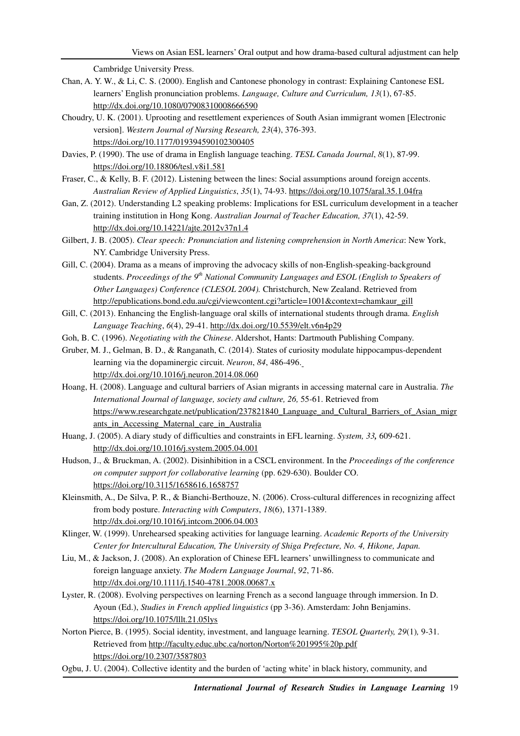Cambridge University Press.

- Chan, A. Y. W., & Li, C. S. (2000). English and Cantonese phonology in contrast: Explaining Cantonese ESL learners' English pronunciation problems. *Language, Culture and Curriculum, 13*(1), 67-85. http://dx.doi.org/10.1080/07908310008666590
- Choudry, U. K. (2001). Uprooting and resettlement experiences of South Asian immigrant women [Electronic version]. *Western Journal of Nursing Research, 23*(4), 376-393. https://doi.org/10.1177/019394590102300405
- Davies, P. (1990). The use of drama in English language teaching. *TESL Canada Journal*, *8*(1), 87-99. https://doi.org/10.18806/tesl.v8i1.581
- Fraser, C., & Kelly, B. F. (2012). Listening between the lines: Social assumptions around foreign accents. *Australian Review of Applied Linguistics*, *35*(1), 74-93. https://doi.org/10.1075/aral.35.1.04fra
- Gan, Z. (2012). Understanding L2 speaking problems: Implications for ESL curriculum development in a teacher training institution in Hong Kong. *Australian Journal of Teacher Education, 37*(1), 42-59. http://dx.doi.org/10.14221/ajte.2012v37n1.4
- Gilbert, J. B. (2005). *Clear speech: Pronunciation and listening comprehension in North America*: New York, NY. Cambridge University Press.
- Gill, C. (2004). Drama as a means of improving the advocacy skills of non-English-speaking-background students. *Proceedings of the 9th National Community Languages and ESOL (English to Speakers of Other Languages) Conference (CLESOL 2004).* Christchurch, New Zealand. Retrieved from http://epublications.bond.edu.au/cgi/viewcontent.cgi?article=1001&context=chamkaur\_gill
- Gill, C. (2013). Enhancing the English-language oral skills of international students through drama. *English Language Teaching*, *6*(4), 29-41. http://dx.doi.org/10.5539/elt.v6n4p29
- Goh, B. C. (1996). *Negotiating with the Chinese*. Aldershot, Hants: Dartmouth Publishing Company.
- Gruber, M. J., Gelman, B. D., & Ranganath, C. (2014). States of curiosity modulate hippocampus-dependent learning via the dopaminergic circuit. *Neuron*, *84*, 486-496. http://dx.doi.org/10.1016/j.neuron.2014.08.060
- Hoang, H. (2008). Language and cultural barriers of Asian migrants in accessing maternal care in Australia. *The International Journal of language, society and culture, 26,* 55-61. Retrieved from https://www.researchgate.net/publication/237821840\_Language\_and\_Cultural\_Barriers\_of\_Asian\_migr ants in Accessing Maternal care in Australia
- Huang, J. (2005). A diary study of difficulties and constraints in EFL learning. *System, 33,* 609-621. http://dx.doi.org/10.1016/j.system.2005.04.001
- Hudson, J., & Bruckman, A. (2002). Disinhibition in a CSCL environment. In the *Proceedings of the conference on computer support for collaborative learning* (pp. 629-630). Boulder CO. https://doi.org/10.3115/1658616.1658757
- Kleinsmith, A., De Silva, P. R., & Bianchi-Berthouze, N. (2006). Cross-cultural differences in recognizing affect from body posture. *Interacting with Computers*, *18*(6), 1371-1389. http://dx.doi.org/10.1016/j.intcom.2006.04.003
- Klinger, W. (1999). Unrehearsed speaking activities for language learning. *Academic Reports of the University Center for Intercultural Education, The University of Shiga Prefecture, No. 4, Hikone, Japan.*
- Liu, M., & Jackson, J. (2008). An exploration of Chinese EFL learners' unwillingness to communicate and foreign language anxiety. *The Modern Language Journal*, *92*, 71-86. http://dx.doi.org/10.1111/j.1540-4781.2008.00687.x
- Lyster, R. (2008). Evolving perspectives on learning French as a second language through immersion. In D. Ayoun (Ed.), *Studies in French applied linguistics* (pp 3-36). Amsterdam: John Benjamins. https://doi.org/10.1075/lllt.21.05lys
- Norton Pierce, B. (1995). Social identity, investment, and language learning. *TESOL Quarterly, 29*(1)*,* 9-31. Retrieved from http://faculty.educ.ubc.ca/norton/Norton%201995%20p.pdf https://doi.org/10.2307/3587803
- Ogbu, J. U. (2004). Collective identity and the burden of 'acting white' in black history, community, and